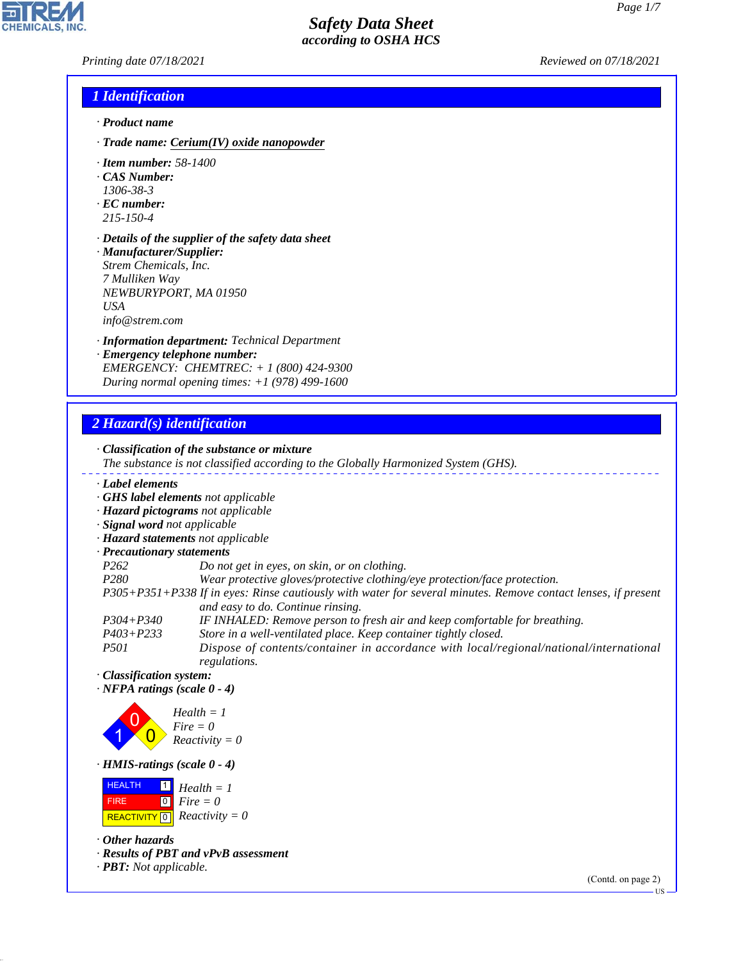*Printing date 07/18/2021 Reviewed on 07/18/2021*

### *1 Identification*

- *· Product name*
- *· Trade name: Cerium(IV) oxide nanopowder*
- *· Item number: 58-1400*
- *· CAS Number:*
- *1306-38-3*
- *· EC number: 215-150-4*
- *· Details of the supplier of the safety data sheet*
- *· Manufacturer/Supplier: Strem Chemicals, Inc. 7 Mulliken Way NEWBURYPORT, MA 01950 USA info@strem.com*
- *· Information department: Technical Department*
- *· Emergency telephone number: EMERGENCY: CHEMTREC: + 1 (800) 424-9300 During normal opening times: +1 (978) 499-1600*

## *2 Hazard(s) identification*

*· Classification of the substance or mixture The substance is not classified according to the Globally Harmonized System (GHS). · Label elements · GHS label elements not applicable · Hazard pictograms not applicable · Signal word not applicable · Hazard statements not applicable · Precautionary statements P262 Do not get in eyes, on skin, or on clothing. P280 Wear protective gloves/protective clothing/eye protection/face protection. P305+P351+P338 If in eyes: Rinse cautiously with water for several minutes. Remove contact lenses, if present and easy to do. Continue rinsing. P304+P340 IF INHALED: Remove person to fresh air and keep comfortable for breathing. P403+P233 Store in a well-ventilated place. Keep container tightly closed. P501 Dispose of contents/container in accordance with local/regional/national/international*

*regulations. · Classification system:*

*· NFPA ratings (scale 0 - 4)*



*· HMIS-ratings (scale 0 - 4)*

**HEALTH**  FIRE  $\boxed{\text{REACTIVITY} \boxed{0}}$  Reactivity = 0 1 *Health = 1* 0 *Fire = 0*

*· Other hazards*

44.1.1

*· Results of PBT and vPvB assessment*

*· PBT: Not applicable.*

(Contd. on page 2)



US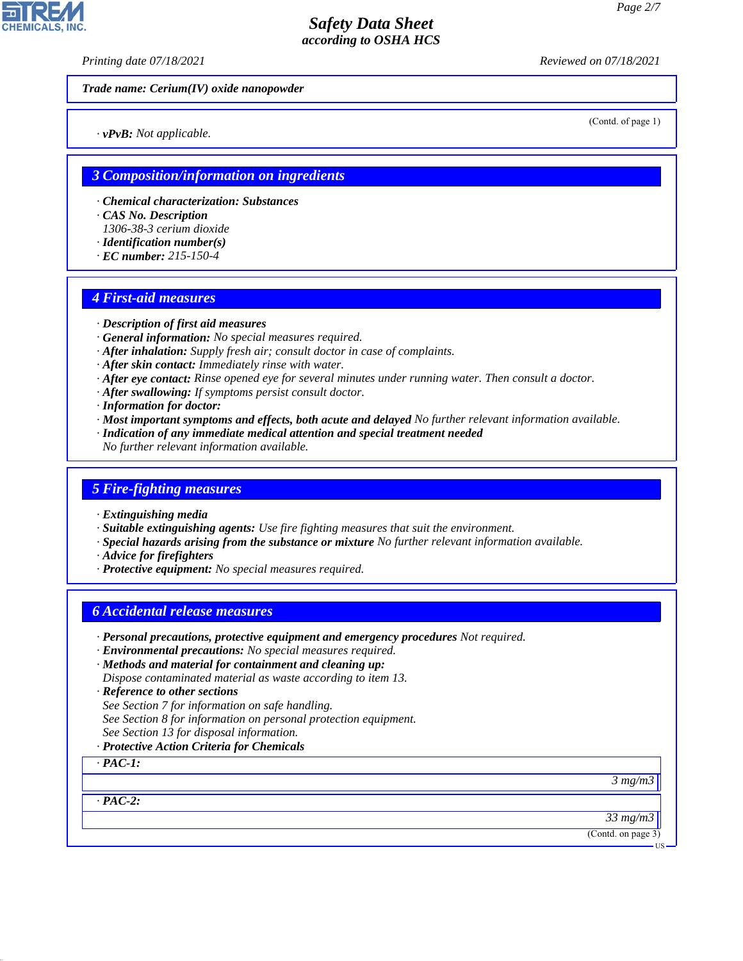*Printing date 07/18/2021 Reviewed on 07/18/2021*

*Trade name: Cerium(IV) oxide nanopowder*

*· vPvB: Not applicable.*

(Contd. of page 1)

### *3 Composition/information on ingredients*

- *· Chemical characterization: Substances*
- *· CAS No. Description*
- *1306-38-3 cerium dioxide*
- *· Identification number(s)*
- *· EC number: 215-150-4*

### *4 First-aid measures*

- *· Description of first aid measures*
- *· General information: No special measures required.*
- *· After inhalation: Supply fresh air; consult doctor in case of complaints.*
- *· After skin contact: Immediately rinse with water.*
- *· After eye contact: Rinse opened eye for several minutes under running water. Then consult a doctor.*
- *· After swallowing: If symptoms persist consult doctor.*
- *· Information for doctor:*
- *· Most important symptoms and effects, both acute and delayed No further relevant information available.*
- *· Indication of any immediate medical attention and special treatment needed*
- *No further relevant information available.*

### *5 Fire-fighting measures*

- *· Extinguishing media*
- *· Suitable extinguishing agents: Use fire fighting measures that suit the environment.*
- *· Special hazards arising from the substance or mixture No further relevant information available.*
- *· Advice for firefighters*
- *· Protective equipment: No special measures required.*

### *6 Accidental release measures*

- *· Personal precautions, protective equipment and emergency procedures Not required.*
- *· Environmental precautions: No special measures required.*
- *· Methods and material for containment and cleaning up:*
- *Dispose contaminated material as waste according to item 13.*
- *· Reference to other sections*
- *See Section 7 for information on safe handling.*
- *See Section 8 for information on personal protection equipment.*
- *See Section 13 for disposal information.*
- *· Protective Action Criteria for Chemicals*

*· PAC-1:*

*3 mg/m3*

*· PAC-2:*

44.1.1

*33 mg/m3*

(Contd. on page 3)

US

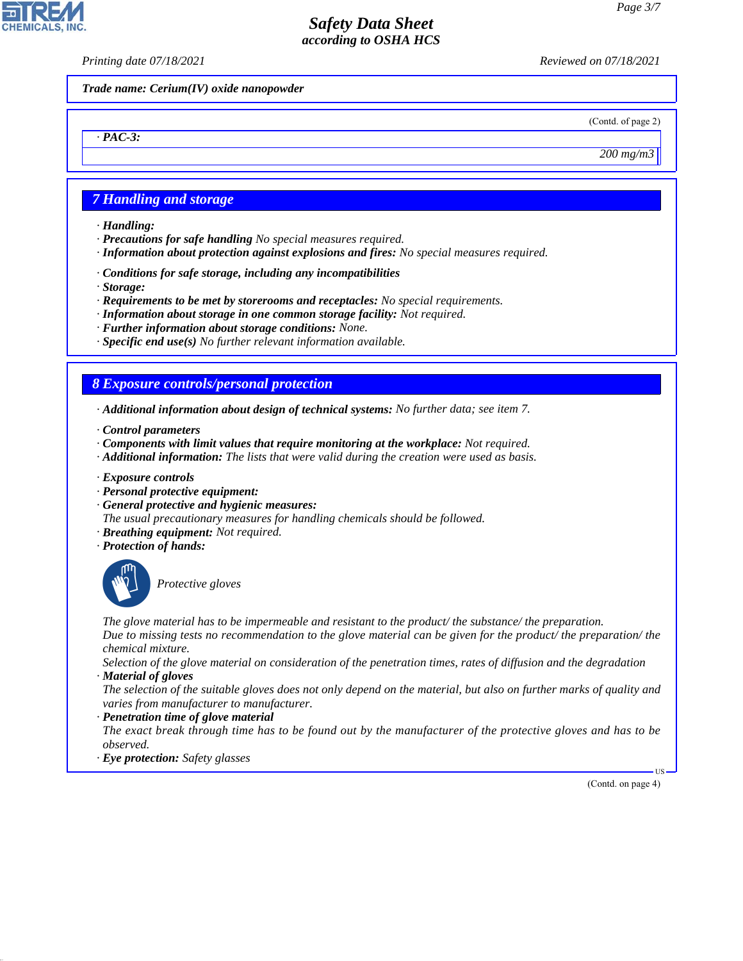*Printing date 07/18/2021 Reviewed on 07/18/2021*

*Trade name: Cerium(IV) oxide nanopowder*

(Contd. of page 2)

*200 mg/m3*

### *7 Handling and storage*

*· Handling:*

*· PAC-3:*

**CHEMICALS,** 

- *· Precautions for safe handling No special measures required.*
- *· Information about protection against explosions and fires: No special measures required.*
- *· Conditions for safe storage, including any incompatibilities*
- *· Storage:*
- *· Requirements to be met by storerooms and receptacles: No special requirements.*
- *· Information about storage in one common storage facility: Not required.*
- *· Further information about storage conditions: None.*
- *· Specific end use(s) No further relevant information available.*

### *8 Exposure controls/personal protection*

- *· Additional information about design of technical systems: No further data; see item 7.*
- *· Control parameters*
- *· Components with limit values that require monitoring at the workplace: Not required.*
- *· Additional information: The lists that were valid during the creation were used as basis.*
- *· Exposure controls*
- *· Personal protective equipment:*
- *· General protective and hygienic measures:*
- *The usual precautionary measures for handling chemicals should be followed.*
- *· Breathing equipment: Not required.*
- *· Protection of hands:*



44.1.1

\_S*Protective gloves*

*The glove material has to be impermeable and resistant to the product/ the substance/ the preparation. Due to missing tests no recommendation to the glove material can be given for the product/ the preparation/ the chemical mixture.*

*Selection of the glove material on consideration of the penetration times, rates of diffusion and the degradation · Material of gloves*

*The selection of the suitable gloves does not only depend on the material, but also on further marks of quality and varies from manufacturer to manufacturer.*

#### *· Penetration time of glove material*

*The exact break through time has to be found out by the manufacturer of the protective gloves and has to be observed.*

*· Eye protection: Safety glasses*

(Contd. on page 4)

US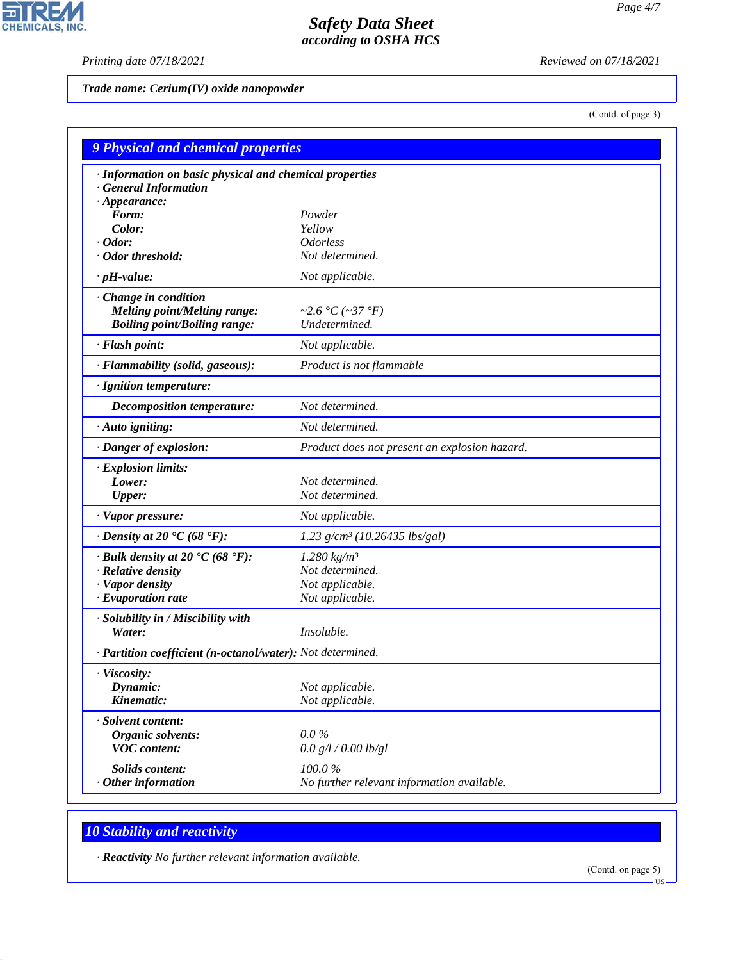CHEMICALS, INC.

*Printing date 07/18/2021 Reviewed on 07/18/2021*

*Trade name: Cerium(IV) oxide nanopowder*

(Contd. of page 3)

| 9 Physical and chemical properties                                               |                                               |  |
|----------------------------------------------------------------------------------|-----------------------------------------------|--|
| · Information on basic physical and chemical properties<br>· General Information |                                               |  |
| $\cdot$ Appearance:<br>Form:                                                     | Powder                                        |  |
| Color:                                                                           | Yellow                                        |  |
| $\cdot$ Odor:                                                                    | <b>Odorless</b>                               |  |
| · Odor threshold:                                                                | Not determined.                               |  |
| $\cdot$ pH-value:                                                                | Not applicable.                               |  |
|                                                                                  |                                               |  |
| Change in condition<br><b>Melting point/Melting range:</b>                       | ~2.6 °C (~37 °F)                              |  |
| <b>Boiling point/Boiling range:</b>                                              | Undetermined.                                 |  |
| · Flash point:                                                                   | Not applicable.                               |  |
|                                                                                  |                                               |  |
| · Flammability (solid, gaseous):                                                 | Product is not flammable                      |  |
| · Ignition temperature:                                                          |                                               |  |
| Decomposition temperature:                                                       | Not determined.                               |  |
| $\cdot$ Auto igniting:                                                           | Not determined.                               |  |
| · Danger of explosion:                                                           | Product does not present an explosion hazard. |  |
| $\cdot$ Explosion limits:                                                        |                                               |  |
| Lower:                                                                           | Not determined.                               |  |
| <b>Upper:</b>                                                                    | Not determined.                               |  |
| · Vapor pressure:                                                                | Not applicable.                               |  |
| $\cdot$ Density at 20 $\cdot$ C (68 $\cdot$ F):                                  | $1.23$ g/cm <sup>3</sup> (10.26435 lbs/gal)   |  |
| $\cdot$ Bulk density at 20 $\textdegree$ C (68 $\textdegree$ F):                 | $1.280 \ kg/m^3$                              |  |
| · Relative density                                                               | Not determined.                               |  |
| · Vapor density                                                                  | Not applicable.                               |  |
| · Evaporation rate                                                               | Not applicable.                               |  |
| · Solubility in / Miscibility with                                               |                                               |  |
| Water:                                                                           | Insoluble.                                    |  |
| · Partition coefficient (n-octanol/water): Not determined.                       |                                               |  |
| · Viscosity:                                                                     |                                               |  |
| Dynamic:                                                                         | Not applicable.                               |  |
| Kinematic:                                                                       | Not applicable.                               |  |
| · Solvent content:                                                               |                                               |  |
| <b>Organic solvents:</b>                                                         | $0.0\%$                                       |  |
| <b>VOC</b> content:                                                              | 0.0 g/l / 0.00 lb/gl                          |  |
| <b>Solids content:</b>                                                           | 100.0%                                        |  |
| $·$ Other information                                                            | No further relevant information available.    |  |

# *10 Stability and reactivity*

44.1.1

*· Reactivity No further relevant information available.*

(Contd. on page 5)

US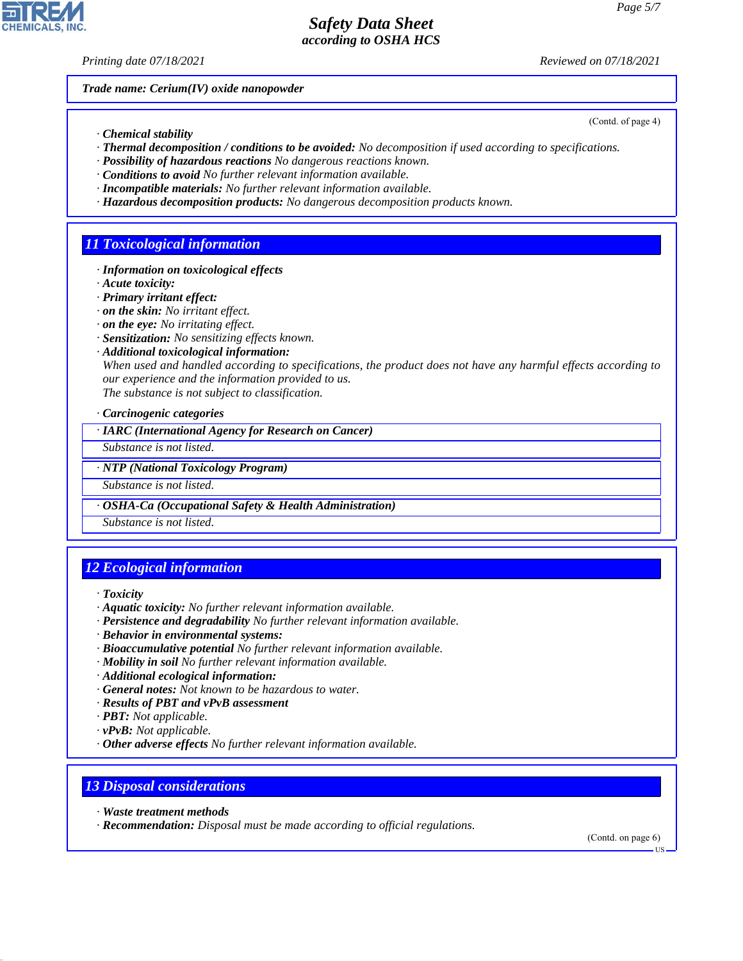*Printing date 07/18/2021 Reviewed on 07/18/2021*

*Trade name: Cerium(IV) oxide nanopowder*

- *· Chemical stability*
- *· Thermal decomposition / conditions to be avoided: No decomposition if used according to specifications.*
- *· Possibility of hazardous reactions No dangerous reactions known.*
- *· Conditions to avoid No further relevant information available.*
- *· Incompatible materials: No further relevant information available.*
- *· Hazardous decomposition products: No dangerous decomposition products known.*

## *11 Toxicological information*

- *· Information on toxicological effects*
- *· Acute toxicity:*
- *· Primary irritant effect:*
- *· on the skin: No irritant effect.*
- *· on the eye: No irritating effect.*
- *· Sensitization: No sensitizing effects known.*
- *· Additional toxicological information:*

*When used and handled according to specifications, the product does not have any harmful effects according to our experience and the information provided to us.*

*The substance is not subject to classification.*

#### *· Carcinogenic categories*

*· IARC (International Agency for Research on Cancer)*

*Substance is not listed.*

### *· NTP (National Toxicology Program)*

*Substance is not listed.*

*· OSHA-Ca (Occupational Safety & Health Administration)*

*Substance is not listed.*

# *12 Ecological information*

- *· Aquatic toxicity: No further relevant information available.*
- *· Persistence and degradability No further relevant information available.*
- *· Behavior in environmental systems:*
- *· Bioaccumulative potential No further relevant information available.*
- *· Mobility in soil No further relevant information available.*
- *· Additional ecological information:*
- *· General notes: Not known to be hazardous to water.*
- *· Results of PBT and vPvB assessment*
- *· PBT: Not applicable.*
- *· vPvB: Not applicable.*
- *· Other adverse effects No further relevant information available.*

### *13 Disposal considerations*

*· Waste treatment methods*

44.1.1

*· Recommendation: Disposal must be made according to official regulations.*

(Contd. on page 6)



(Contd. of page 4)

*<sup>·</sup> Toxicity*

US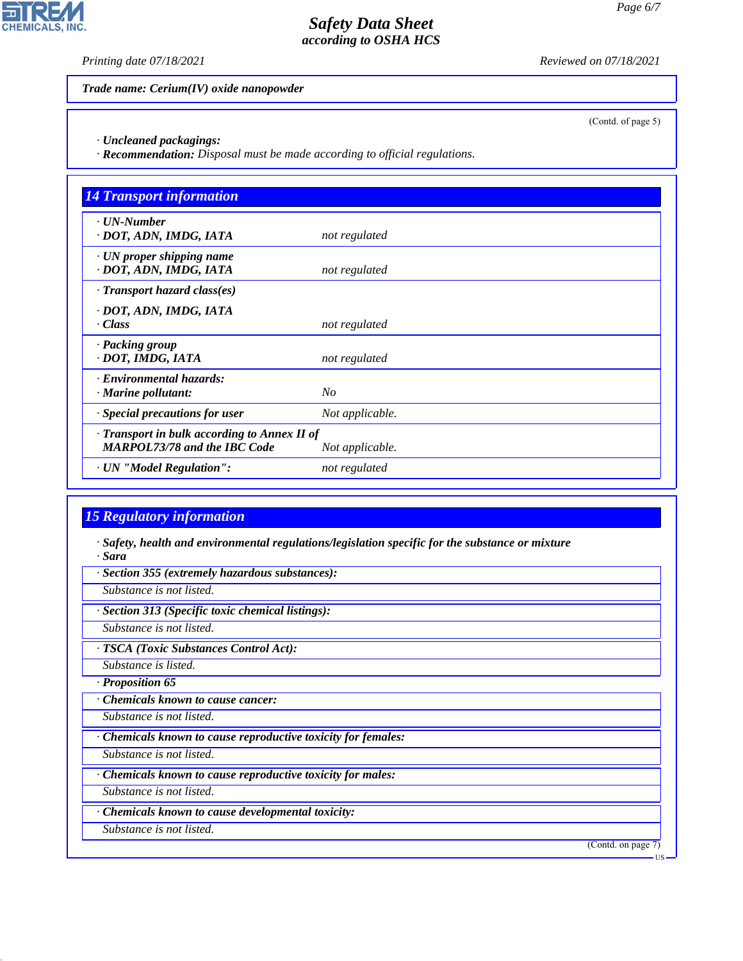p.

**CHEMICALS, INC.** 

*Printing date 07/18/2021 Reviewed on 07/18/2021*

(Contd. of page 5)

*Trade name: Cerium(IV) oxide nanopowder*

*· Uncleaned packagings:*

*· Recommendation: Disposal must be made according to official regulations.*

| <b>14 Transport information</b>                                                     |                 |
|-------------------------------------------------------------------------------------|-----------------|
| $\cdot$ <i>UN-Number</i><br>· DOT, ADN, IMDG, IATA                                  | not regulated   |
| · UN proper shipping name<br>· DOT, ADN, IMDG, IATA                                 | not regulated   |
| $\cdot$ Transport hazard class(es)                                                  |                 |
| · DOT, ADN, IMDG, IATA<br>· Class                                                   | not regulated   |
| · Packing group<br>· DOT, IMDG, IATA                                                | not regulated   |
| · Environmental hazards:<br>$\cdot$ Marine pollutant:                               | No              |
| Special precautions for user                                                        | Not applicable. |
| · Transport in bulk according to Annex II of<br><b>MARPOL73/78 and the IBC Code</b> | Not applicable. |
| · UN "Model Regulation":                                                            | not regulated   |

# *15 Regulatory information*

*· Safety, health and environmental regulations/legislation specific for the substance or mixture · Sara*

*· Section 355 (extremely hazardous substances):*

*Substance is not listed.*

*· Section 313 (Specific toxic chemical listings):*

*Substance is not listed.*

*· TSCA (Toxic Substances Control Act):*

*Substance is listed.*

*· Proposition 65*

*· Chemicals known to cause cancer:*

*Substance is not listed.*

*· Chemicals known to cause reproductive toxicity for females:*

*Substance is not listed.*

*· Chemicals known to cause reproductive toxicity for males:*

*Substance is not listed.*

*· Chemicals known to cause developmental toxicity:*

*Substance is not listed.*

44.1.1

(Contd. on page 7)

US